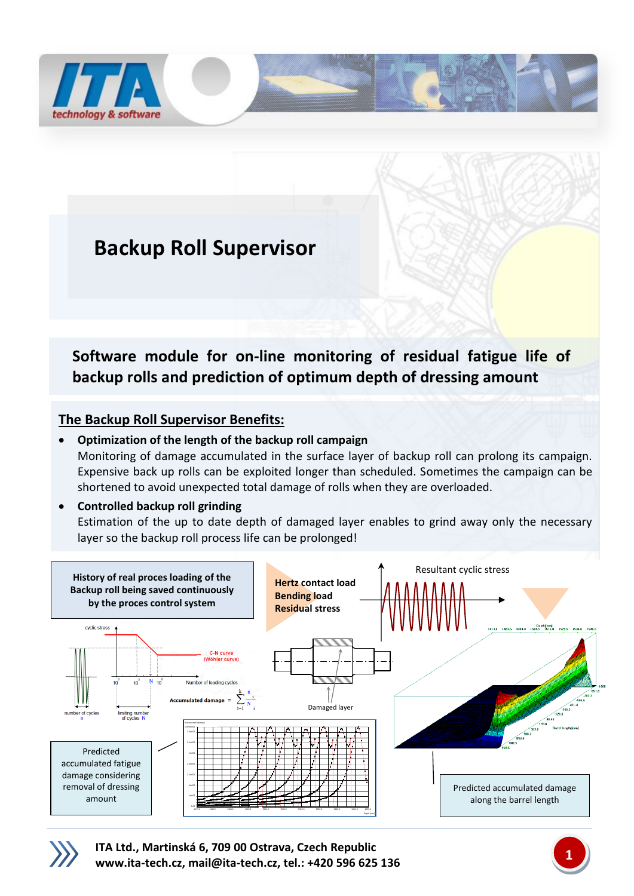

## **Backup Roll Supervisor**

**Software module for on-line monitoring of residual fatigue life of backup rolls and prediction of optimum depth of dressing amount**

## **The Backup Roll Supervisor Benefits:**

## **Optimization of the length of the backup roll campaign** Monitoring of damage accumulated in the surface layer of backup roll can prolong its campaign. Expensive back up rolls can be exploited longer than scheduled. Sometimes the campaign can be shortened to avoid unexpected total damage of rolls when they are overloaded.

## **Controlled backup roll grinding**

Estimation of the up to date depth of damaged layer enables to grind away only the necessary layer so the backup roll process life can be prolonged!





**ITA Ltd., Martinská 6, 709 00 Ostrava, Czech Republic [www.ita-tech.cz,](http://www.ita-tech.cz/) [mail@ita-tech.cz,](mailto:mail@ita-tech.cz) tel.: +420 <sup>596</sup> 625 136 1**